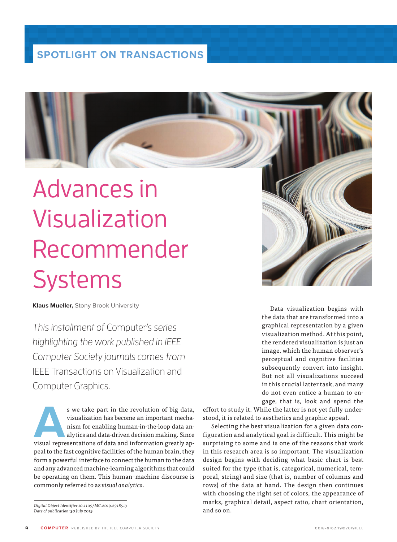## **SPOTLIGHT ON TRANSACTIONS**

## Advances in Visualization Recommender **Systems**

**Klaus Mueller,** Stony Brook University

This installment of Computer's series highlighting the work published in IEEE Computer Society journals comes from IEEE Transactions on Visualization and Computer Graphics.

s we take part in the revolution of big data, visualization has become an important mechanism for enabling human-in-the-loop data and alytics and data-driven decision making. Since visual representations of data and inform visualization has become an important mechanism for enabling human-in-the-loop data analytics and data-driven decision making. Since peal to the fast cognitive facilities of the human brain, they form a powerful interface to connect the human to the data and any advanced machine-learning algorithms that could be operating on them. This human–machine discourse is commonly referred to as *visual analytics*.

*Digital Object Identifier 10.1109/MC.2019.2918513 Date of publication: 30 July 2019*

Data visualization begins with the data that are transformed into a graphical representation by a given visualization method. At this point, the rendered visualization is just an image, which the human observer's perceptual and cognitive facilities subsequently convert into insight. But not all visualizations succeed in this crucial latter task, and many do not even entice a human to engage, that is, look and spend the

effort to study it. While the latter is not yet fully understood, it is related to aesthetics and graphic appeal.

Selecting the best visualization for a given data configuration and analytical goal is difficult. This might be surprising to some and is one of the reasons that work in this research area is so important. The visualization design begins with deciding what basic chart is best suited for the type (that is, categorical, numerical, temporal, string) and size (that is, number of columns and rows) of the data at hand. The design then continues with choosing the right set of colors, the appearance of marks, graphical detail, aspect ratio, chart orientation, and so on.